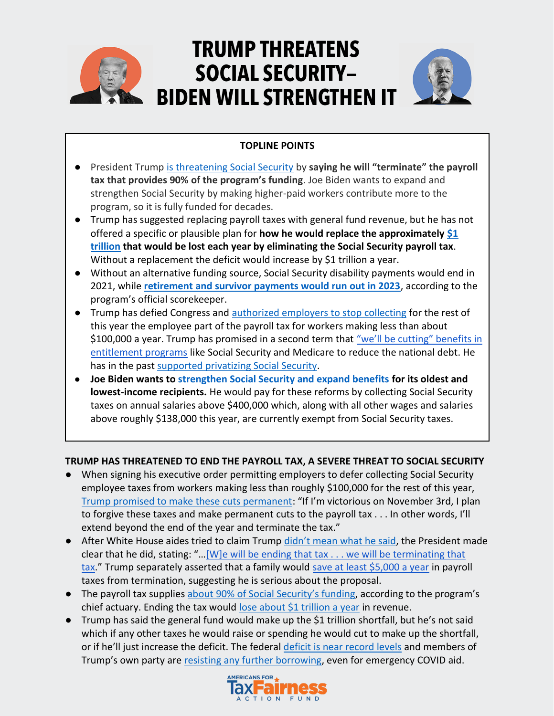

# **TRUMP THREATENS SOCIAL SECURITY-BIDEN WILL STRENGTHEN IT**



## **TOPLINE POINTS**

- President Trump [is threatening Social Security](https://www.businessinsider.com/social-security-payroll-tax-cut-depleted-trump-eliminating-effect-fund-2020-8) by **saying he will "terminate" the payroll tax that provides 90% of the program's funding**. Joe Biden wants to expand and strengthen Social Security by making higher-paid workers contribute more to the program, so it is fully funded for decades.
- Trump has suggested replacing payroll taxes with general fund revenue, but he has not offered a specific or plausible plan for **how he would replace the approximately [\\$1](https://www.taxpolicycenter.org/briefing-book/what-are-major-federal-payroll-taxes-and-how-much-money-do-they-raise)  [trillion](https://www.taxpolicycenter.org/briefing-book/what-are-major-federal-payroll-taxes-and-how-much-money-do-they-raise) that would be lost each year by eliminating the Social Security payroll tax**. Without a replacement the deficit would increase by \$1 trillion a year.
- Without an alternative funding source, Social Security disability payments would end in 2021, while **[retirement and survivor payments would run out in 2023](https://www.ssa.gov/OACT/solvency/VanHollenSandersWydenSchumer_20200824.pdf)**, according to the program's official scorekeeper.
- Trump has defied Congress and [authorized employers to stop collecting](https://www.cnbc.com/2020/08/31/the-payroll-tax-holiday-takes-effect-sept-1-what-it-means-for-your-pay.html) for the rest of this year the employee part of the payroll tax for workers making less than about \$100,000 a year. Trump has promised in a second term that ["we'll be cutting" benefits in](https://www.vox.com/2020/3/6/21168038/trump-on-entitlements-fox-news-town-hall)  [entitlement programs](https://www.vox.com/2020/3/6/21168038/trump-on-entitlements-fox-news-town-hall) like Social Security and Medicare to reduce the national debt. He has in the pas[t supported privatizing Social Security.](https://www.buzzfeednews.com/article/andrewkaczynski/trump-on-social-security-in-his-2000-book-a-ponzi-scheme-we)
- **Joe Biden wants to [strengthen Social Security and expand benefits](https://www.cnbc.com/2020/08/18/heres-how-joe-biden-plans-to-change-social-security-if-elected-president.html) for its oldest and lowest-income recipients.** He would pay for these reforms by collecting Social Security taxes on annual salaries above \$400,000 which, along with all other wages and salaries above roughly \$138,000 this year, are currently exempt from Social Security taxes.

## **TRUMP HAS THREATENED TO END THE PAYROLL TAX, A SEVERE THREAT TO SOCIAL SECURITY**

- When signing his executive order permitting employers to defer collecting Social Security employee taxes from workers making less than roughly \$100,000 for the rest of this year, [Trump promised to make these cuts permanent](https://www.washingtonpost.com/us-policy/2020/08/08/trump-payroll-tax-cut/): "If I'm victorious on November 3rd, I plan to forgive these taxes and make permanent cuts to the payroll tax . . . In other words, I'll extend beyond the end of the year and terminate the tax."
- After White House aides tried to claim Trump [didn't mean what he said](https://thehill.com/homenews/sunday-talk-shows/511218-kudlow-says-trump-did-not-mean-he-was-eliminating-the-social), the President made clear that he did, stating: "…[\[W\]e will be ending that tax . . . we will be terminating that](https://www.cnbc.com/2020/08/10/trumps-payroll-tax-cut-would-terminate-social-security-critics-say.html)  [tax](https://www.cnbc.com/2020/08/10/trumps-payroll-tax-cut-would-terminate-social-security-critics-say.html)." Trump separately asserted that a family would [save at least \\$5,000 a year](https://apnews.com/115d67efe74079235adc1b698ae2b6d9) in payroll taxes from termination, suggesting he is serious about the proposal.
- The payroll tax supplies [about 90% of Social Security's funding,](https://www.ssa.gov/OACT/solvency/VanHollenSandersWydenSchumer_20200824.pdf) according to the program's chief actuary. Ending the tax would [lose about \\$1 trillion a year](https://www.taxpolicycenter.org/briefing-book/what-are-major-federal-payroll-taxes-and-how-much-money-do-they-raise) in revenue.
- Trump has said the general fund would make up the \$1 trillion shortfall, but he's not said which if any other taxes he would raise or spending he would cut to make up the shortfall, or if he'll just increase the deficit. The federal [deficit is near record levels](https://www.nytimes.com/2020/09/02/business/us-federal-debt.html) and members of Trump's own party are [resisting any further borrowing,](https://thehill.com/homenews/house/495009-conservative-republicans-say-covid-spending-must-consider-growing-debt) even for emergency COVID aid.